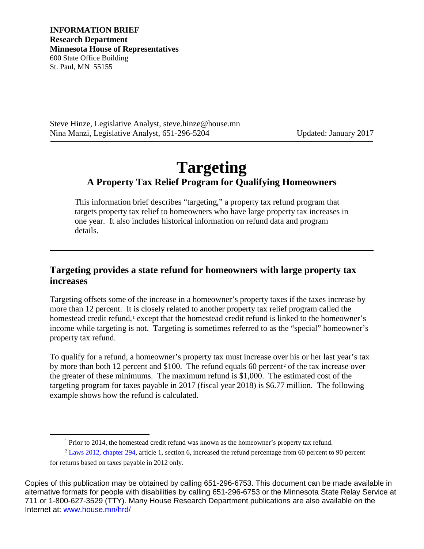Steve Hinze, Legislative Analyst, steve.hinze@house.mn Nina Manzi, Legislative Analyst, 651-296-5204 Updated: January 2017

# **Targeting A Property Tax Relief Program for Qualifying Homeowners**

This information brief describes "targeting," a property tax refund program that targets property tax relief to homeowners who have large property tax increases in one year. It also includes historical information on refund data and program details.

#### **Targeting provides a state refund for homeowners with large property tax increases**

Targeting offsets some of the increase in a homeowner's property taxes if the taxes increase by more than 12 percent. It is closely related to another property tax relief program called the homestead credit refund,<sup>[1](#page-0-0)</sup> except that the homestead credit refund is linked to the homeowner's income while targeting is not. Targeting is sometimes referred to as the "special" homeowner's property tax refund.

To qualify for a refund, a homeowner's property tax must increase over his or her last year's tax by more than both 1[2](#page-0-1) percent and \$100. The refund equals 60 percent<sup>2</sup> of the tax increase over the greater of these minimums. The maximum refund is \$1,000. The estimated cost of the targeting program for taxes payable in 2017 (fiscal year 2018) is \$6.77 million. The following example shows how the refund is calculated.

<span id="page-0-1"></span><span id="page-0-0"></span>Copies of this publication may be obtained by calling 651-296-6753. This document can be made available in alternative formats for people with disabilities by calling 651-296-6753 or the Minnesota State Relay Service at 711 or 1-800-627-3529 (TTY). Many House Research Department publications are also available on the Internet at: [www.house.mn/hrd/](http://www.house.mn/hrd/)

<sup>&</sup>lt;sup>1</sup> Prior to 2014, the homestead credit refund was known as the homeowner's property tax refund.

<sup>&</sup>lt;sup>2</sup> [Laws 2012, chapter 294,](https://www.revisor.mn.gov/laws/?year=2012&type=0&doctype=Chapter&id=294) article 1, section 6, increased the refund percentage from 60 percent to 90 percent for returns based on taxes payable in 2012 only.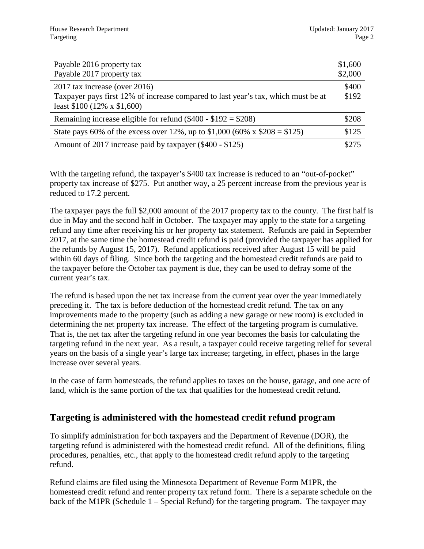| Payable 2016 property tax<br>Payable 2017 property tax                                                                                                  | \$1,600<br>\$2,000 |
|---------------------------------------------------------------------------------------------------------------------------------------------------------|--------------------|
| 2017 tax increase (over 2016)<br>Taxpayer pays first 12% of increase compared to last year's tax, which must be at<br>least $$100 (12\% \times $1,600)$ | \$400<br>\$192     |
| Remaining increase eligible for refund $(\$400 - \$192 = \$208)$                                                                                        | \$208              |
| State pays 60% of the excess over 12%, up to \$1,000 (60% x \$208 = \$125)                                                                              | \$125              |
| Amount of 2017 increase paid by taxpayer (\$400 - \$125)                                                                                                | \$275              |

With the targeting refund, the taxpayer's \$400 tax increase is reduced to an "out-of-pocket" property tax increase of \$275. Put another way, a 25 percent increase from the previous year is reduced to 17.2 percent.

The taxpayer pays the full \$2,000 amount of the 2017 property tax to the county. The first half is due in May and the second half in October. The taxpayer may apply to the state for a targeting refund any time after receiving his or her property tax statement. Refunds are paid in September 2017, at the same time the homestead credit refund is paid (provided the taxpayer has applied for the refunds by August 15, 2017). Refund applications received after August 15 will be paid within 60 days of filing. Since both the targeting and the homestead credit refunds are paid to the taxpayer before the October tax payment is due, they can be used to defray some of the current year's tax.

The refund is based upon the net tax increase from the current year over the year immediately preceding it. The tax is before deduction of the homestead credit refund. The tax on any improvements made to the property (such as adding a new garage or new room) is excluded in determining the net property tax increase. The effect of the targeting program is cumulative. That is, the net tax after the targeting refund in one year becomes the basis for calculating the targeting refund in the next year. As a result, a taxpayer could receive targeting relief for several years on the basis of a single year's large tax increase; targeting, in effect, phases in the large increase over several years.

In the case of farm homesteads, the refund applies to taxes on the house, garage, and one acre of land, which is the same portion of the tax that qualifies for the homestead credit refund.

# **Targeting is administered with the homestead credit refund program**

To simplify administration for both taxpayers and the Department of Revenue (DOR), the targeting refund is administered with the homestead credit refund. All of the definitions, filing procedures, penalties, etc., that apply to the homestead credit refund apply to the targeting refund.

Refund claims are filed using the Minnesota Department of Revenue Form M1PR, the homestead credit refund and renter property tax refund form. There is a separate schedule on the back of the M1PR (Schedule 1 – Special Refund) for the targeting program. The taxpayer may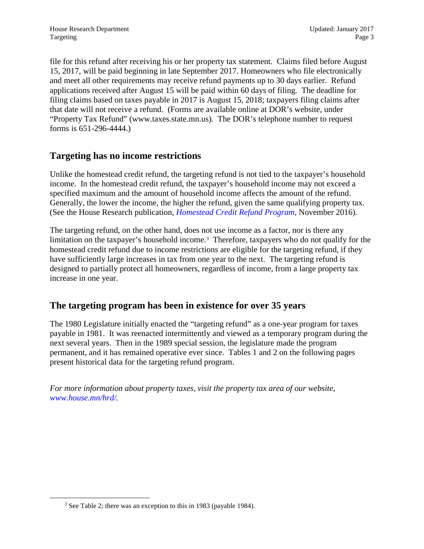file for this refund after receiving his or her property tax statement. Claims filed before August 15, 2017, will be paid beginning in late September 2017. Homeowners who file electronically and meet all other requirements may receive refund payments up to 30 days earlier. Refund applications received after August 15 will be paid within 60 days of filing. The deadline for filing claims based on taxes payable in 2017 is August 15, 2018; taxpayers filing claims after that date will not receive a refund. (Forms are available online at DOR's website, under "Property Tax Refund" (www.taxes.state.mn.us). The DOR's telephone number to request forms is 651-296-4444.)

### **Targeting has no income restrictions**

Unlike the homestead credit refund, the targeting refund is not tied to the taxpayer's household income. In the homestead credit refund, the taxpayer's household income may not exceed a specified maximum and the amount of household income affects the amount of the refund. Generally, the lower the income, the higher the refund, given the same qualifying property tax. (See the House Research publication, *[Homestead Credit Refund Program](http://www.house.leg.state.mn.us/hrd/pubs/ss/sshptrp.pdf)*, November 2016).

The targeting refund, on the other hand, does not use income as a factor, nor is there any limitation on the taxpayer's household income.<sup>[3](#page-2-0)</sup> Therefore, taxpayers who do not qualify for the homestead credit refund due to income restrictions are eligible for the targeting refund, if they have sufficiently large increases in tax from one year to the next. The targeting refund is designed to partially protect all homeowners, regardless of income, from a large property tax increase in one year.

# **The targeting program has been in existence for over 35 years**

The 1980 Legislature initially enacted the "targeting refund" as a one-year program for taxes payable in 1981. It was reenacted intermittently and viewed as a temporary program during the next several years. Then in the 1989 special session, the legislature made the program permanent, and it has remained operative ever since. Tables 1 and 2 on the following pages present historical data for the targeting refund program.

*For more information about property taxes, visit the property tax area of our website, [www.house.mn/hrd/.](http://www.house.mn/hrd/)* 

<span id="page-2-0"></span><sup>3</sup> See Table 2; there was an exception to this in 1983 (payable 1984).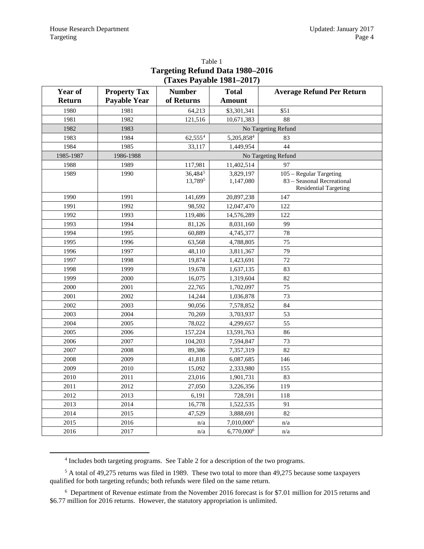| $(14A \omega 14y40R 1701-2017)$ |                     |                               |                        |                                                                                       |  |  |  |
|---------------------------------|---------------------|-------------------------------|------------------------|---------------------------------------------------------------------------------------|--|--|--|
| <b>Year of</b>                  | <b>Property Tax</b> | <b>Number</b><br><b>Total</b> |                        | <b>Average Refund Per Return</b>                                                      |  |  |  |
| <b>Return</b>                   | <b>Payable Year</b> | of Returns                    | <b>Amount</b>          |                                                                                       |  |  |  |
| 1980                            | 1981                | 64,213                        | \$3,301,341            | \$51                                                                                  |  |  |  |
| 1981                            | 1982                | 121,516                       | 10,671,383             | 88                                                                                    |  |  |  |
| 1982                            | 1983                |                               |                        | No Targeting Refund                                                                   |  |  |  |
| 1983                            | 1984                | 62,555 <sup>4</sup>           | 5,205,8584             | 83                                                                                    |  |  |  |
| 1984                            | 1985                | 33,117                        | 1,449,954              | 44                                                                                    |  |  |  |
| 1985-1987                       | 1986-1988           |                               |                        | No Targeting Refund                                                                   |  |  |  |
| 1988                            | 1989                | 117,981                       | 11,402,514             | 97                                                                                    |  |  |  |
| 1989                            | 1990                | 36,4845<br>13,7895            | 3,829,197<br>1,147,080 | 105 - Regular Targeting<br>83 - Seasonal Recreational<br><b>Residential Targeting</b> |  |  |  |
| 1990                            | 1991                | 141,699                       | 20,897,238             | 147                                                                                   |  |  |  |
| 1991                            | 1992                | 98,592                        | 12,047,470             | 122                                                                                   |  |  |  |
| 1992                            | 1993                | 119,486                       | 14,576,289             | 122                                                                                   |  |  |  |
| 1993                            | 1994                | 81,126                        | 8,031,160              | 99                                                                                    |  |  |  |
| 1994                            | 1995                | 60,889                        | 4,745,377              | 78                                                                                    |  |  |  |
| 1995                            | 1996                | 63,568                        | 4,788,805              | 75                                                                                    |  |  |  |
| 1996                            | 1997                | 48,110                        | 3,811,367              | 79                                                                                    |  |  |  |
| 1997                            | 1998                | 19,874                        | 1,423,691              | 72                                                                                    |  |  |  |
| 1998                            | 1999                | 19,678                        | 1,637,135              | 83                                                                                    |  |  |  |
| 1999                            | 2000                | 16,075                        | 1,319,604              | 82                                                                                    |  |  |  |
| 2000                            | 2001                | 22,765                        | 1,702,097              | 75                                                                                    |  |  |  |
| 2001                            | 2002                | 14,244                        | 1,036,878              | 73                                                                                    |  |  |  |
| 2002                            | 2003                | 90,056                        | 7,578,852              | 84                                                                                    |  |  |  |
| 2003                            | 2004                | 70,269                        | 3,703,937              | 53                                                                                    |  |  |  |
| 2004                            | 2005                | 78,022                        | 4,299,657              | 55                                                                                    |  |  |  |
| 2005                            | 2006                | 157,224                       | 13,591,763             | 86                                                                                    |  |  |  |
| 2006                            | 2007                | 104,203                       | 7,594,847              | 73                                                                                    |  |  |  |
| 2007                            | 2008                | 89,386                        | 7,357,319              | 82                                                                                    |  |  |  |
| 2008                            | 2009                | 41,818                        | 6,087,685              | 146                                                                                   |  |  |  |
| 2009                            | 2010                | 15,092                        | 2,333,980              | 155                                                                                   |  |  |  |
| 2010                            | 2011                | 23,016                        | 1,901,731              | 83                                                                                    |  |  |  |
| 2011                            | 2012                | 27,050                        | 3,226,356              | 119                                                                                   |  |  |  |
| 2012                            | 2013                | 6,191                         | 728,591                | 118                                                                                   |  |  |  |
| 2013                            | 2014                | 16,778                        | 1,522,535              | 91                                                                                    |  |  |  |
| 2014                            | 2015                | 47,529                        | 3,888,691              | 82                                                                                    |  |  |  |
| 2015                            | 2016                | n/a                           | 7,010,000 <sup>6</sup> | n/a                                                                                   |  |  |  |
| 2016                            | 2017                | n/a                           | 6,770,000 <sup>6</sup> | n/a                                                                                   |  |  |  |

#### Table 1 **Targeting Refund Data 1980–2016 (Taxes Payable 1981–2017)**

<span id="page-3-0"></span><sup>4</sup> Includes both targeting programs. See Table 2 for a description of the two programs.

<span id="page-3-2"></span><span id="page-3-1"></span><sup>5</sup> A total of 49,275 returns was filed in 1989. These two total to more than 49,275 because some taxpayers qualified for both targeting refunds; both refunds were filed on the same return.

<span id="page-3-3"></span><sup>&</sup>lt;sup>6</sup> Department of Revenue estimate from the November 2016 forecast is for \$7.01 million for 2015 returns and \$6.77 million for 2016 returns. However, the statutory appropriation is unlimited.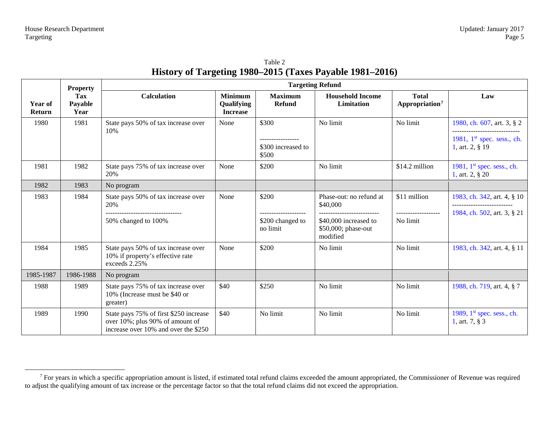<span id="page-4-0"></span>

| Table 2                                                  |
|----------------------------------------------------------|
| History of Targeting 1980–2015 (Taxes Payable 1981–2016) |

|                          | <b>Property</b>               | <b>Targeting Refund</b>                                                                                           |                                                 |                                      |                                                          |                                            |                                                                               |
|--------------------------|-------------------------------|-------------------------------------------------------------------------------------------------------------------|-------------------------------------------------|--------------------------------------|----------------------------------------------------------|--------------------------------------------|-------------------------------------------------------------------------------|
| Year of<br><b>Return</b> | <b>Tax</b><br>Payable<br>Year | <b>Calculation</b>                                                                                                | <b>Minimum</b><br>Qualifying<br><b>Increase</b> | <b>Maximum</b><br><b>Refund</b>      | <b>Household Income</b><br>Limitation                    | <b>Total</b><br>Appropriation <sup>7</sup> | Law                                                                           |
| 1980                     | 1981                          | State pays 50% of tax increase over<br>10%                                                                        | None                                            | \$300<br>\$300 increased to<br>\$500 | No limit                                                 | No limit                                   | 1980, ch. 607, art. 3, § 2<br>1981, $1st$ spec. sess., ch.<br>1, art. 2, § 19 |
| 1981                     | 1982                          | State pays 75% of tax increase over<br>20%                                                                        | None                                            | \$200                                | No limit                                                 | \$14.2 million                             | 1981, $1st$ spec. sess., ch.<br>1, art. 2, $\S 20$                            |
| 1982                     | 1983                          | No program                                                                                                        |                                                 |                                      |                                                          |                                            |                                                                               |
| 1983                     | 1984                          | State pays 50% of tax increase over<br>20%                                                                        | None                                            | \$200                                | Phase-out: no refund at<br>\$40,000                      | \$11 million<br>-------------------        | 1983, ch. 342, art. 4, § 10<br>1984, ch. 502, art. 3, § 21                    |
|                          |                               | 50% changed to 100%                                                                                               |                                                 | \$200 changed to<br>no limit         | \$40,000 increased to<br>\$50,000; phase-out<br>modified | No limit                                   |                                                                               |
| 1984                     | 1985                          | State pays 50% of tax increase over<br>10% if property's effective rate<br>exceeds 2.25%                          | None                                            | \$200                                | No limit                                                 | No limit                                   | 1983, ch. 342, art. 4, § 11                                                   |
| 1985-1987                | 1986-1988                     | No program                                                                                                        |                                                 |                                      |                                                          |                                            |                                                                               |
| 1988                     | 1989                          | State pays 75% of tax increase over<br>10% (Increase must be \$40 or<br>greater)                                  | \$40                                            | \$250                                | No limit                                                 | No limit                                   | 1988, ch. 719, art. 4, § 7                                                    |
| 1989                     | 1990                          | State pays 75% of first \$250 increase<br>over 10%; plus 90% of amount of<br>increase over 10% and over the \$250 | \$40                                            | No limit                             | No limit                                                 | No limit                                   | 1989, $1st$ spec. sess., ch.<br>1, art. 7, $\S$ 3                             |

 $7$  For years in which a specific appropriation amount is listed, if estimated total refund claims exceeded the amount appropriated, the Commissioner of Revenue was required to adjust the qualifying amount of tax increase or the percentage factor so that the total refund claims did not exceed the appropriation.